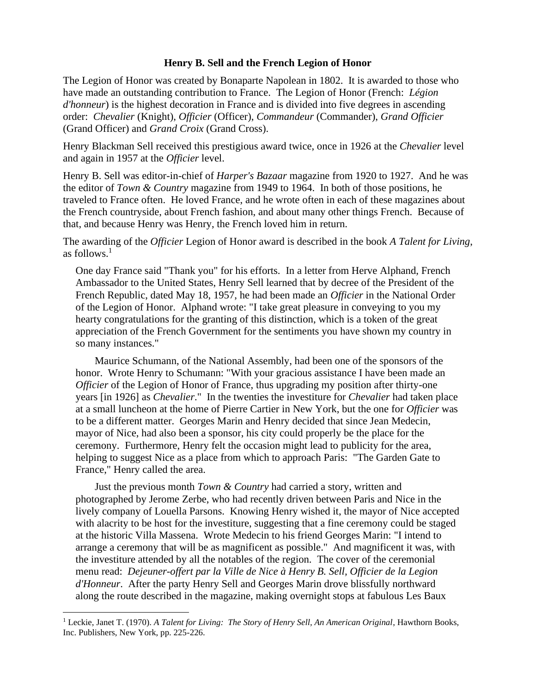## **Henry B. Sell and the French Legion of Honor**

The Legion of Honor was created by Bonaparte Napolean in 1802. It is awarded to those who have made an outstanding contribution to France. The [Legion of Honor](https://en.wikipedia.org/wiki/Legion_of_Honour) [\(French:](https://en.wikipedia.org/wiki/French_language) *Légion d'honneur*) is the highest decoration in France and is divided into five degrees in ascending order: *Chevalier* (Knight), *Officier* (Officer), *Commandeur* (Commander), *Grand Officier* (Grand Officer) and *Grand Croix* (Grand Cross).

Henry Blackman Sell received this prestigious award twice, once in 1926 at the *Chevalier* level and again in 1957 at the *Officier* level.

Henry B. Sell was editor-in-chief of *Harper's Bazaar* magazine from 1920 to 1927. And he was the editor of *Town & Country* magazine from 1949 to 1964. In both of those positions, he traveled to France often. He loved France, and he wrote often in each of these magazines about the French countryside, about French fashion, and about many other things French. Because of that, and because Henry was Henry, the French loved him in return.

The awarding of the *Officier* Legion of Honor award is described in the book *A Talent for Living*, as follows. 1

One day France said "Thank you" for his efforts. In a letter from Herve Alphand, French Ambassador to the United States, Henry Sell learned that by decree of the President of the French Republic, dated May 18, 1957, he had been made an *Officier* in the National Order of the Legion of Honor. Alphand wrote: "I take great pleasure in conveying to you my hearty congratulations for the granting of this distinction, which is a token of the great appreciation of the French Government for the sentiments you have shown my country in so many instances."

Maurice Schumann, of the National Assembly, had been one of the sponsors of the honor. Wrote Henry to Schumann: "With your gracious assistance I have been made an *Officier* of the Legion of Honor of France, thus upgrading my position after thirty-one years [in 1926] as *Chevalier*." In the twenties the investiture for *Chevalier* had taken place at a small luncheon at the home of Pierre Cartier in New York, but the one for *Officier* was to be a different matter. Georges Marin and Henry decided that since Jean Medecin, mayor of Nice, had also been a sponsor, his city could properly be the place for the ceremony. Furthermore, Henry felt the occasion might lead to publicity for the area, helping to suggest Nice as a place from which to approach Paris: "The Garden Gate to France," Henry called the area.

Just the previous month *Town & Country* had carried a story, written and photographed by Jerome Zerbe, who had recently driven between Paris and Nice in the lively company of Louella Parsons. Knowing Henry wished it, the mayor of Nice accepted with alacrity to be host for the investiture, suggesting that a fine ceremony could be staged at the historic Villa Massena. Wrote Medecin to his friend Georges Marin: "I intend to arrange a ceremony that will be as magnificent as possible." And magnificent it was, with the investiture attended by all the notables of the region. The cover of the ceremonial menu read: *Dejeuner-offert par la Ville de Nice à Henry B. Sell, Officier de la Legion d'Honneur*. After the party Henry Sell and Georges Marin drove blissfully northward along the route described in the magazine, making overnight stops at fabulous Les Baux

<sup>1</sup> Leckie, Janet T. (1970). *A Talent for Living: The Story of Henry Sell, An American Original*, Hawthorn Books, Inc. Publishers, New York, pp. 225-226.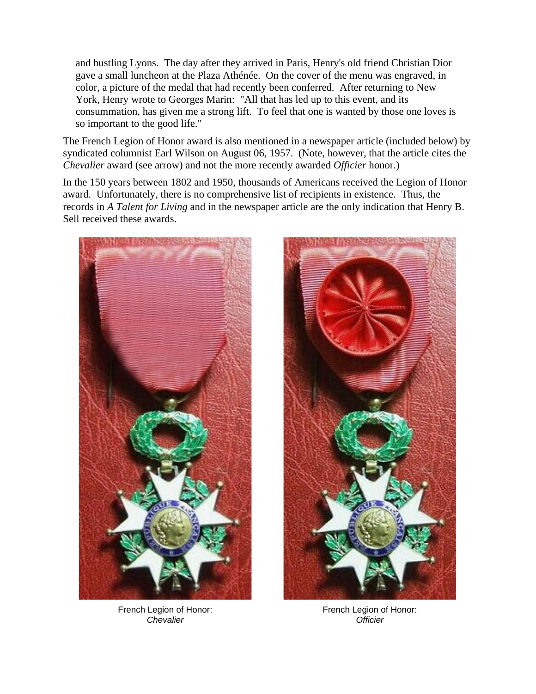and bustling Lyons. The day after they arrived in Paris, Henry's old friend Christian Dior gave a small luncheon at the Plaza Athénée. On the cover of the menu was engraved, in color, a picture of the medal that had recently been conferred. After returning to New York, Henry wrote to Georges Marin: "All that has led up to this event, and its consummation, has given me a strong lift. To feel that one is wanted by those one loves is so important to the good life."

The French Legion of Honor award is also mentioned in a newspaper article (included below) by syndicated columnist Earl Wilson on August 06, 1957. (Note, however, that the article cites the *Chevalier* award (see arrow) and not the more recently awarded *Officier* honor.)

In the 150 years between 1802 and 1950, thousands of Americans received the Legion of Honor award. Unfortunately, there is no comprehensive list of recipients in existence. Thus, the records in *A Talent for Living* and in the newspaper article are the only indication that Henry B. Sell received these awards.



French [Legion of Honor:](https://en.wikipedia.org/wiki/Legion_of_Honour) *Chevalier*



French [Legion of Honor:](https://en.wikipedia.org/wiki/Legion_of_Honour) *Officier*